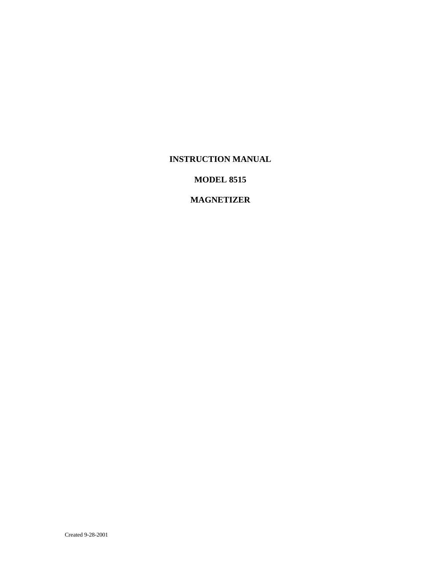### **INSTRUCTION MANUAL**

# **MODEL 8515**

# **MAGNETIZER**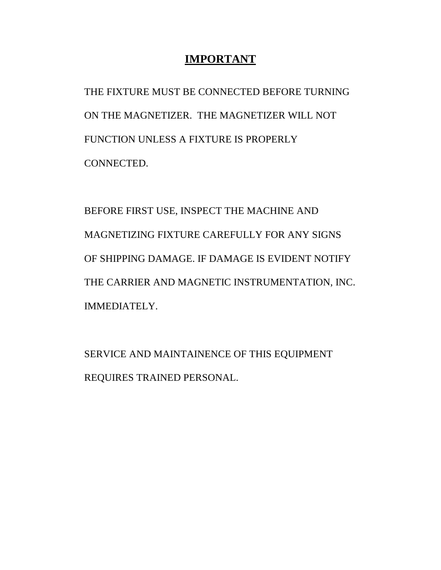# **IMPORTANT**

THE FIXTURE MUST BE CONNECTED BEFORE TURNING ON THE MAGNETIZER. THE MAGNETIZER WILL NOT FUNCTION UNLESS A FIXTURE IS PROPERLY CONNECTED.

BEFORE FIRST USE, INSPECT THE MACHINE AND MAGNETIZING FIXTURE CAREFULLY FOR ANY SIGNS OF SHIPPING DAMAGE. IF DAMAGE IS EVIDENT NOTIFY THE CARRIER AND MAGNETIC INSTRUMENTATION, INC. IMMEDIATELY.

SERVICE AND MAINTAINENCE OF THIS EQUIPMENT REQUIRES TRAINED PERSONAL.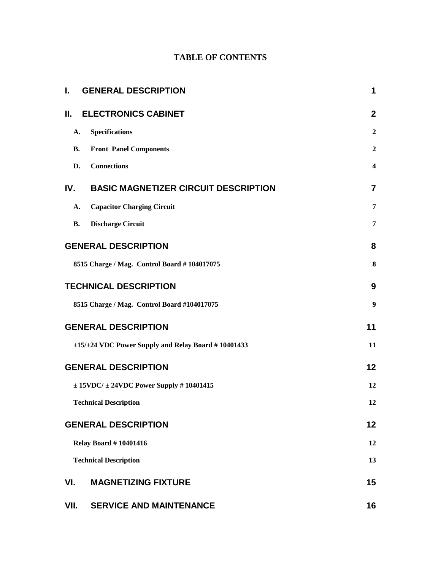# **TABLE OF CONTENTS**

| I.        | <b>GENERAL DESCRIPTION</b>                                 | 1                       |
|-----------|------------------------------------------------------------|-------------------------|
| Н.        | <b>ELECTRONICS CABINET</b>                                 | $\overline{2}$          |
| A.        | <b>Specifications</b>                                      | $\boldsymbol{2}$        |
| <b>B.</b> | <b>Front Panel Components</b>                              | $\overline{2}$          |
| D.        | <b>Connections</b>                                         | $\overline{\mathbf{4}}$ |
| IV.       | <b>BASIC MAGNETIZER CIRCUIT DESCRIPTION</b>                | $\overline{7}$          |
| A.        | <b>Capacitor Charging Circuit</b>                          | 7                       |
| <b>B.</b> | <b>Discharge Circuit</b>                                   | 7                       |
|           | <b>GENERAL DESCRIPTION</b>                                 | 8                       |
|           | 8515 Charge / Mag. Control Board #104017075                | 8                       |
|           | <b>TECHNICAL DESCRIPTION</b>                               | 9                       |
|           | 8515 Charge / Mag. Control Board #104017075                | 9                       |
|           | <b>GENERAL DESCRIPTION</b>                                 | 11                      |
|           | $\pm 15/\pm 24$ VDC Power Supply and Relay Board #10401433 | 11                      |
|           | <b>GENERAL DESCRIPTION</b>                                 | 12                      |
|           | $\pm$ 15VDC/ $\pm$ 24VDC Power Supply # 10401415           | 12                      |
|           | <b>Technical Description</b>                               | 12                      |
|           | <b>GENERAL DESCRIPTION</b>                                 | 12                      |
|           | <b>Relay Board #10401416</b>                               | 12                      |
|           | <b>Technical Description</b>                               | 13                      |
| VI.       | <b>MAGNETIZING FIXTURE</b>                                 | 15                      |
| VII.      | <b>SERVICE AND MAINTENANCE</b>                             | 16                      |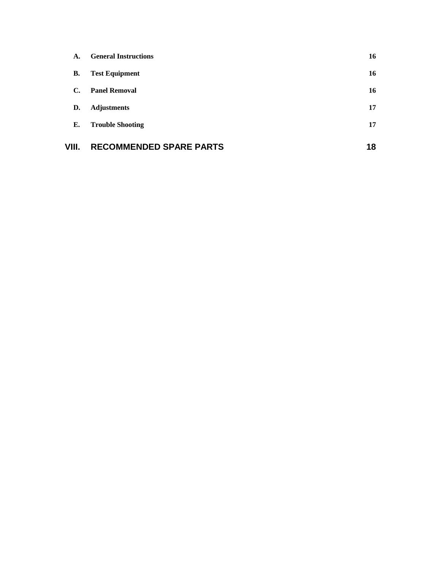| A.    | <b>General Instructions</b>    | 16 |
|-------|--------------------------------|----|
| В.    | <b>Test Equipment</b>          | 16 |
| С.    | <b>Panel Removal</b>           | 16 |
| D.    | <b>Adjustments</b>             | 17 |
| Е.    | <b>Trouble Shooting</b>        | 17 |
| VIII. | <b>RECOMMENDED SPARE PARTS</b> | 18 |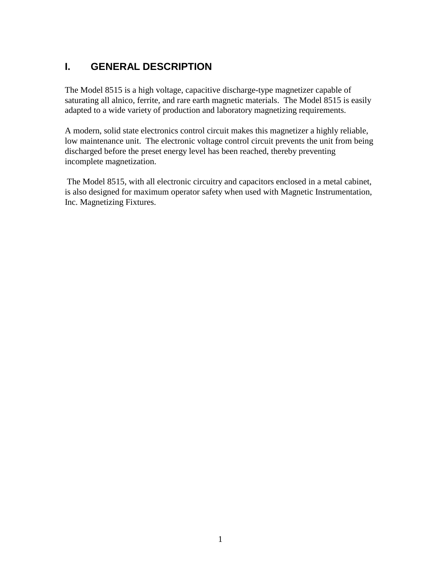# **I. GENERAL DESCRIPTION**

The Model 8515 is a high voltage, capacitive discharge-type magnetizer capable of saturating all alnico, ferrite, and rare earth magnetic materials. The Model 8515 is easily adapted to a wide variety of production and laboratory magnetizing requirements.

A modern, solid state electronics control circuit makes this magnetizer a highly reliable, low maintenance unit. The electronic voltage control circuit prevents the unit from being discharged before the preset energy level has been reached, thereby preventing incomplete magnetization.

The Model 8515, with all electronic circuitry and capacitors enclosed in a metal cabinet, is also designed for maximum operator safety when used with Magnetic Instrumentation, Inc. Magnetizing Fixtures.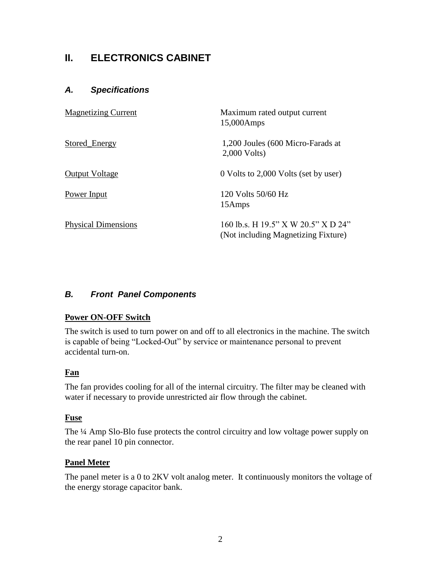# **II. ELECTRONICS CABINET**

# *A. Specifications*

| <b>Magnetizing Current</b> | Maximum rated output current<br>15,000Amps                                 |
|----------------------------|----------------------------------------------------------------------------|
| Stored_Energy              | 1,200 Joules (600 Micro-Farads at<br>$2,000$ Volts)                        |
| <b>Output Voltage</b>      | 0 Volts to 2,000 Volts (set by user)                                       |
| <b>Power Input</b>         | 120 Volts 50/60 Hz<br>15Amps                                               |
| <b>Physical Dimensions</b> | 160 lb.s. H 19.5" X W 20.5" X D 24"<br>(Not including Magnetizing Fixture) |

# *B. Front Panel Components*

## **Power ON-OFF Switch**

The switch is used to turn power on and off to all electronics in the machine. The switch is capable of being "Locked-Out" by service or maintenance personal to prevent accidental turn-on.

## **Fan**

The fan provides cooling for all of the internal circuitry. The filter may be cleaned with water if necessary to provide unrestricted air flow through the cabinet.

#### **Fuse**

The ¼ Amp Slo-Blo fuse protects the control circuitry and low voltage power supply on the rear panel 10 pin connector.

## **Panel Meter**

The panel meter is a 0 to 2KV volt analog meter. It continuously monitors the voltage of the energy storage capacitor bank.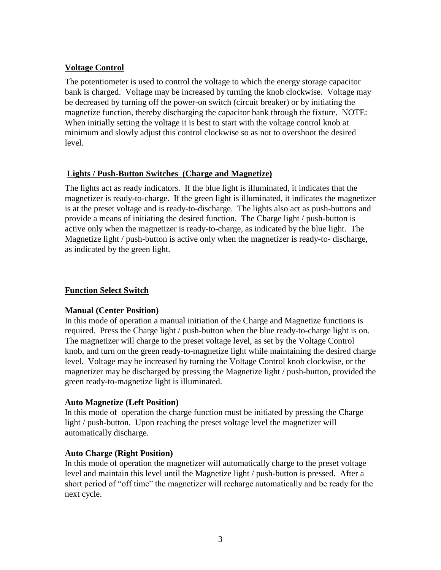# **Voltage Control**

The potentiometer is used to control the voltage to which the energy storage capacitor bank is charged. Voltage may be increased by turning the knob clockwise. Voltage may be decreased by turning off the power-on switch (circuit breaker) or by initiating the magnetize function, thereby discharging the capacitor bank through the fixture. NOTE: When initially setting the voltage it is best to start with the voltage control knob at minimum and slowly adjust this control clockwise so as not to overshoot the desired level.

## **Lights / Push-Button Switches (Charge and Magnetize)**

The lights act as ready indicators. If the blue light is illuminated, it indicates that the magnetizer is ready-to-charge. If the green light is illuminated, it indicates the magnetizer is at the preset voltage and is ready-to-discharge. The lights also act as push-buttons and provide a means of initiating the desired function. The Charge light / push-button is active only when the magnetizer is ready-to-charge, as indicated by the blue light. The Magnetize light / push-button is active only when the magnetizer is ready-to- discharge, as indicated by the green light.

# **Function Select Switch**

## **Manual (Center Position)**

In this mode of operation a manual initiation of the Charge and Magnetize functions is required. Press the Charge light / push-button when the blue ready-to-charge light is on. The magnetizer will charge to the preset voltage level, as set by the Voltage Control knob, and turn on the green ready-to-magnetize light while maintaining the desired charge level. Voltage may be increased by turning the Voltage Control knob clockwise, or the magnetizer may be discharged by pressing the Magnetize light / push-button, provided the green ready-to-magnetize light is illuminated.

## **Auto Magnetize (Left Position)**

In this mode of operation the charge function must be initiated by pressing the Charge light / push-button. Upon reaching the preset voltage level the magnetizer will automatically discharge.

## **Auto Charge (Right Position)**

In this mode of operation the magnetizer will automatically charge to the preset voltage level and maintain this level until the Magnetize light / push-button is pressed. After a short period of "off time" the magnetizer will recharge automatically and be ready for the next cycle.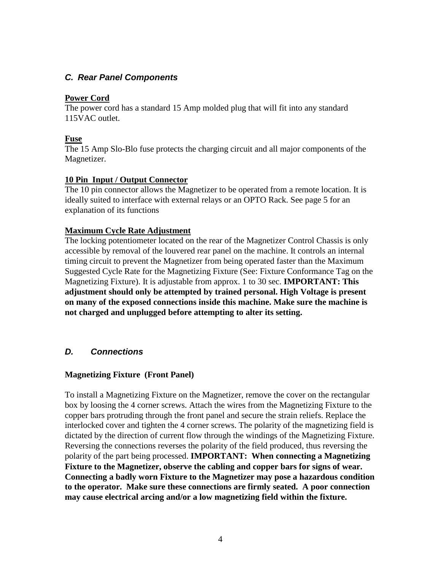## *C. Rear Panel Components*

#### **Power Cord**

The power cord has a standard 15 Amp molded plug that will fit into any standard 115VAC outlet.

### **Fuse**

The 15 Amp Slo-Blo fuse protects the charging circuit and all major components of the Magnetizer.

### **10 Pin Input / Output Connector**

The 10 pin connector allows the Magnetizer to be operated from a remote location. It is ideally suited to interface with external relays or an OPTO Rack. See page 5 for an explanation of its functions

### **Maximum Cycle Rate Adjustment**

The locking potentiometer located on the rear of the Magnetizer Control Chassis is only accessible by removal of the louvered rear panel on the machine. It controls an internal timing circuit to prevent the Magnetizer from being operated faster than the Maximum Suggested Cycle Rate for the Magnetizing Fixture (See: Fixture Conformance Tag on the Magnetizing Fixture). It is adjustable from approx. 1 to 30 sec. **IMPORTANT: This adjustment should only be attempted by trained personal. High Voltage is present on many of the exposed connections inside this machine. Make sure the machine is not charged and unplugged before attempting to alter its setting.** 

## *D. Connections*

## **Magnetizing Fixture (Front Panel)**

To install a Magnetizing Fixture on the Magnetizer, remove the cover on the rectangular box by loosing the 4 corner screws. Attach the wires from the Magnetizing Fixture to the copper bars protruding through the front panel and secure the strain reliefs. Replace the interlocked cover and tighten the 4 corner screws. The polarity of the magnetizing field is dictated by the direction of current flow through the windings of the Magnetizing Fixture. Reversing the connections reverses the polarity of the field produced, thus reversing the polarity of the part being processed. **IMPORTANT: When connecting a Magnetizing Fixture to the Magnetizer, observe the cabling and copper bars for signs of wear. Connecting a badly worn Fixture to the Magnetizer may pose a hazardous condition to the operator. Make sure these connections are firmly seated. A poor connection may cause electrical arcing and/or a low magnetizing field within the fixture.**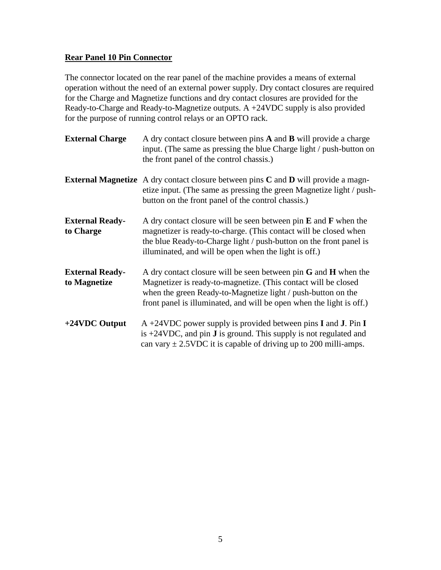## **Rear Panel 10 Pin Connector**

The connector located on the rear panel of the machine provides a means of external operation without the need of an external power supply. Dry contact closures are required for the Charge and Magnetize functions and dry contact closures are provided for the Ready-to-Charge and Ready-to-Magnetize outputs. A +24VDC supply is also provided for the purpose of running control relays or an OPTO rack.

| <b>External Charge</b>                 | A dry contact closure between pins <b>A</b> and <b>B</b> will provide a charge<br>input. (The same as pressing the blue Charge light / push-button on<br>the front panel of the control chassis.)                                                                             |
|----------------------------------------|-------------------------------------------------------------------------------------------------------------------------------------------------------------------------------------------------------------------------------------------------------------------------------|
|                                        | <b>External Magnetize</b> A dry contact closure between pins <b>C</b> and <b>D</b> will provide a magn-<br>etize input. (The same as pressing the green Magnetize light / push-<br>button on the front panel of the control chassis.)                                         |
| <b>External Ready-</b><br>to Charge    | A dry contact closure will be seen between pin $E$ and $F$ when the<br>magnetizer is ready-to-charge. (This contact will be closed when<br>the blue Ready-to-Charge light / push-button on the front panel is<br>illuminated, and will be open when the light is off.)        |
| <b>External Ready-</b><br>to Magnetize | A dry contact closure will be seen between pin $G$ and $H$ when the<br>Magnetizer is ready-to-magnetize. (This contact will be closed<br>when the green Ready-to-Magnetize light / push-button on the<br>front panel is illuminated, and will be open when the light is off.) |
| $+24$ VDC Output                       | $A + 24VDC$ power supply is provided between pins I and J. Pin I<br>is $+24VDC$ , and pin <b>J</b> is ground. This supply is not regulated and<br>can vary $\pm$ 2.5VDC it is capable of driving up to 200 milli-amps.                                                        |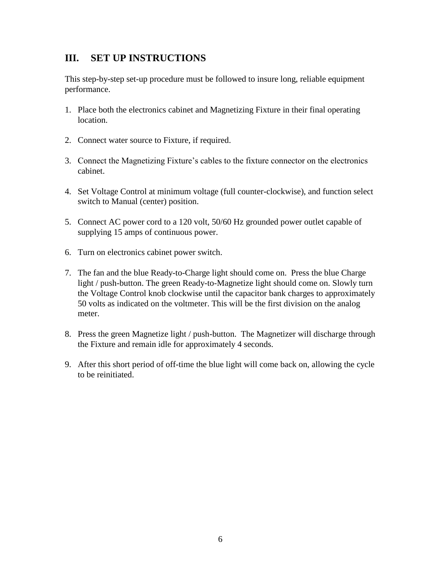# **III. SET UP INSTRUCTIONS**

This step-by-step set-up procedure must be followed to insure long, reliable equipment performance.

- 1. Place both the electronics cabinet and Magnetizing Fixture in their final operating location.
- 2. Connect water source to Fixture, if required.
- 3. Connect the Magnetizing Fixture's cables to the fixture connector on the electronics cabinet.
- 4. Set Voltage Control at minimum voltage (full counter-clockwise), and function select switch to Manual (center) position.
- 5. Connect AC power cord to a 120 volt, 50/60 Hz grounded power outlet capable of supplying 15 amps of continuous power.
- 6. Turn on electronics cabinet power switch.
- 7. The fan and the blue Ready-to-Charge light should come on. Press the blue Charge light / push-button. The green Ready-to-Magnetize light should come on. Slowly turn the Voltage Control knob clockwise until the capacitor bank charges to approximately 50 volts as indicated on the voltmeter. This will be the first division on the analog meter.
- 8. Press the green Magnetize light / push-button. The Magnetizer will discharge through the Fixture and remain idle for approximately 4 seconds.
- 9. After this short period of off-time the blue light will come back on, allowing the cycle to be reinitiated.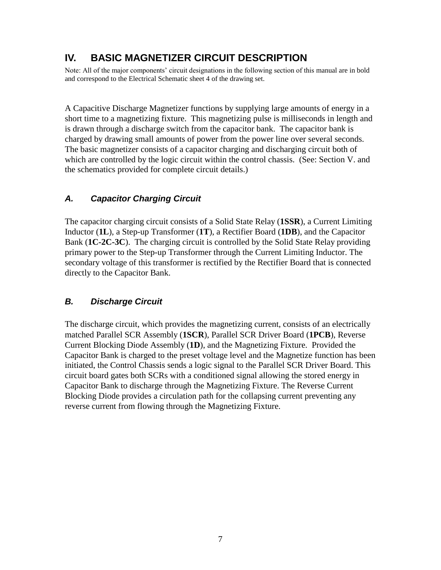# **IV. BASIC MAGNETIZER CIRCUIT DESCRIPTION**

Note: All of the major components' circuit designations in the following section of this manual are in bold and correspond to the Electrical Schematic sheet 4 of the drawing set.

A Capacitive Discharge Magnetizer functions by supplying large amounts of energy in a short time to a magnetizing fixture. This magnetizing pulse is milliseconds in length and is drawn through a discharge switch from the capacitor bank. The capacitor bank is charged by drawing small amounts of power from the power line over several seconds. The basic magnetizer consists of a capacitor charging and discharging circuit both of which are controlled by the logic circuit within the control chassis. (See: Section V. and the schematics provided for complete circuit details.)

# *A. Capacitor Charging Circuit*

The capacitor charging circuit consists of a Solid State Relay (**1SSR**), a Current Limiting Inductor (**1L**), a Step-up Transformer (**1T**), a Rectifier Board (**1DB**), and the Capacitor Bank (**1C-2C-3C**). The charging circuit is controlled by the Solid State Relay providing primary power to the Step-up Transformer through the Current Limiting Inductor. The secondary voltage of this transformer is rectified by the Rectifier Board that is connected directly to the Capacitor Bank.

# *B. Discharge Circuit*

The discharge circuit, which provides the magnetizing current, consists of an electrically matched Parallel SCR Assembly (**1SCR**), Parallel SCR Driver Board (**1PCB**), Reverse Current Blocking Diode Assembly (**1D**), and the Magnetizing Fixture. Provided the Capacitor Bank is charged to the preset voltage level and the Magnetize function has been initiated, the Control Chassis sends a logic signal to the Parallel SCR Driver Board. This circuit board gates both SCRs with a conditioned signal allowing the stored energy in Capacitor Bank to discharge through the Magnetizing Fixture. The Reverse Current Blocking Diode provides a circulation path for the collapsing current preventing any reverse current from flowing through the Magnetizing Fixture.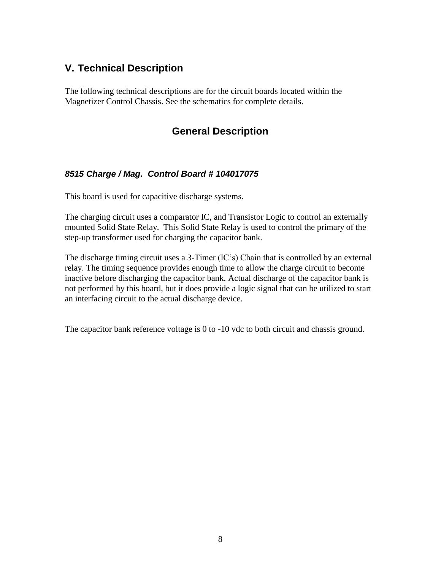# **V. Technical Description**

The following technical descriptions are for the circuit boards located within the Magnetizer Control Chassis. See the schematics for complete details.

# **General Description**

# *8515 Charge / Mag. Control Board # 104017075*

This board is used for capacitive discharge systems.

The charging circuit uses a comparator IC, and Transistor Logic to control an externally mounted Solid State Relay. This Solid State Relay is used to control the primary of the step-up transformer used for charging the capacitor bank.

The discharge timing circuit uses a 3-Timer (IC's) Chain that is controlled by an external relay. The timing sequence provides enough time to allow the charge circuit to become inactive before discharging the capacitor bank. Actual discharge of the capacitor bank is not performed by this board, but it does provide a logic signal that can be utilized to start an interfacing circuit to the actual discharge device.

The capacitor bank reference voltage is 0 to -10 vdc to both circuit and chassis ground.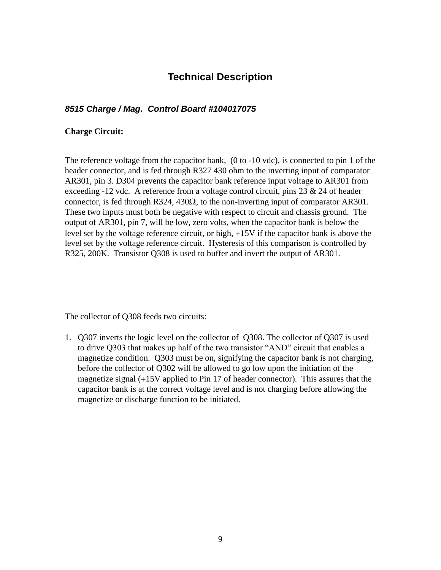# **Technical Description**

# *8515 Charge / Mag. Control Board #104017075*

#### **Charge Circuit:**

The reference voltage from the capacitor bank, (0 to -10 vdc), is connected to pin 1 of the header connector, and is fed through R327 430 ohm to the inverting input of comparator AR301, pin 3. D304 prevents the capacitor bank reference input voltage to AR301 from exceeding -12 vdc. A reference from a voltage control circuit, pins  $23 \& 24$  of header connector, is fed through R324, 430 $\Omega$ , to the non-inverting input of comparator AR301. These two inputs must both be negative with respect to circuit and chassis ground. The output of AR301, pin 7, will be low, zero volts, when the capacitor bank is below the level set by the voltage reference circuit, or high, +15V if the capacitor bank is above the level set by the voltage reference circuit. Hysteresis of this comparison is controlled by R325, 200K. Transistor Q308 is used to buffer and invert the output of AR301.

The collector of Q308 feeds two circuits:

1. Q307 inverts the logic level on the collector of Q308. The collector of Q307 is used to drive Q303 that makes up half of the two transistor "AND" circuit that enables a magnetize condition. Q303 must be on, signifying the capacitor bank is not charging, before the collector of Q302 will be allowed to go low upon the initiation of the magnetize signal (+15V applied to Pin 17 of header connector). This assures that the capacitor bank is at the correct voltage level and is not charging before allowing the magnetize or discharge function to be initiated.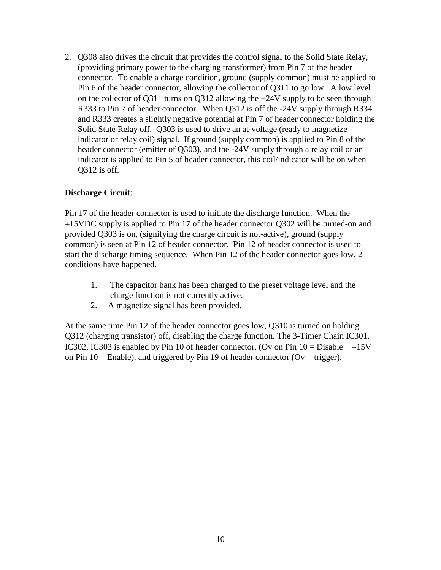2. Q308 also drives the circuit that provides the control signal to the Solid State Relay, (providing primary power to the charging transformer) from Pin 7 of the header connector. To enable a charge condition, ground (supply common) must be applied to Pin 6 of the header connector, allowing the collector of Q311 to go low. A low level on the collector of Q311 turns on Q312 allowing the +24V supply to be seen through R333 to Pin 7 of header connector. When Q312 is off the -24V supply through R334 and R333 creates a slightly negative potential at Pin 7 of header connector holding the Solid State Relay off. Q303 is used to drive an at-voltage (ready to magnetize indicator or relay coil) signal. If ground (supply common) is applied to Pin 8 of the header connector (emitter of Q303), and the -24V supply through a relay coil or an indicator is applied to Pin 5 of header connector, this coil/indicator will be on when Q312 is off.

### **Discharge Circuit**:

Pin 17 of the header connector is used to initiate the discharge function. When the +15VDC supply is applied to Pin 17 of the header connector Q302 will be turned-on and provided Q303 is on, (signifying the charge circuit is not-active), ground (supply common) is seen at Pin 12 of header connector. Pin 12 of header connector is used to start the discharge timing sequence. When Pin 12 of the header connector goes low, 2 conditions have happened.

- 1. The capacitor bank has been charged to the preset voltage level and the charge function is not currently active.
- 2. A magnetize signal has been provided.

At the same time Pin 12 of the header connector goes low, Q310 is turned on holding Q312 (charging transistor) off, disabling the charge function. The 3-Timer Chain IC301, IC302, IC303 is enabled by Pin 10 of header connector, (Ov on Pin  $10 = \text{Disable} +15\text{V}$ on Pin  $10 =$  Enable), and triggered by Pin 19 of header connector (Ov = trigger).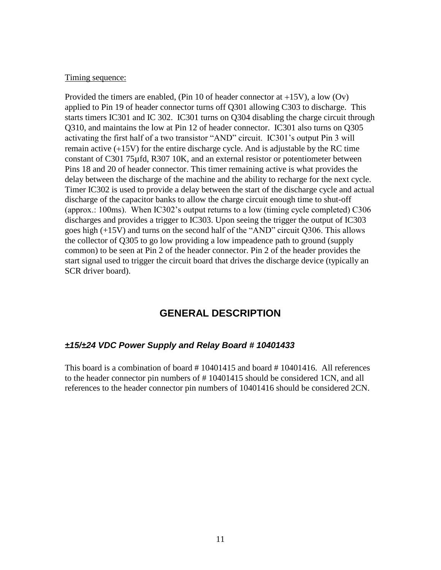#### Timing sequence:

Provided the timers are enabled, (Pin 10 of header connector at +15V), a low (Ov) applied to Pin 19 of header connector turns off Q301 allowing C303 to discharge. This starts timers IC301 and IC 302. IC301 turns on Q304 disabling the charge circuit through Q310, and maintains the low at Pin 12 of header connector. IC301 also turns on Q305 activating the first half of a two transistor "AND" circuit. IC301's output Pin 3 will remain active (+15V) for the entire discharge cycle. And is adjustable by the RC time constant of C301 75µfd, R307 10K, and an external resistor or potentiometer between Pins 18 and 20 of header connector. This timer remaining active is what provides the delay between the discharge of the machine and the ability to recharge for the next cycle. Timer IC302 is used to provide a delay between the start of the discharge cycle and actual discharge of the capacitor banks to allow the charge circuit enough time to shut-off (approx.: 100ms). When IC302's output returns to a low (timing cycle completed) C306 discharges and provides a trigger to IC303. Upon seeing the trigger the output of IC303 goes high (+15V) and turns on the second half of the "AND" circuit Q306. This allows the collector of Q305 to go low providing a low impeadence path to ground (supply common) to be seen at Pin 2 of the header connector. Pin 2 of the header provides the start signal used to trigger the circuit board that drives the discharge device (typically an SCR driver board).

# **GENERAL DESCRIPTION**

#### *±15/±24 VDC Power Supply and Relay Board # 10401433*

This board is a combination of board # 10401415 and board # 10401416. All references to the header connector pin numbers of # 10401415 should be considered 1CN, and all references to the header connector pin numbers of 10401416 should be considered 2CN.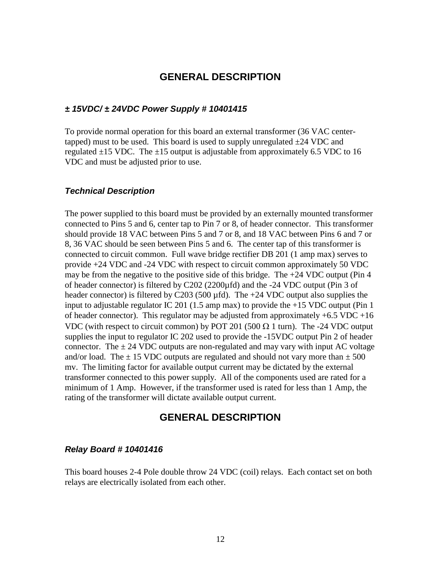# **GENERAL DESCRIPTION**

#### *± 15VDC/ ± 24VDC Power Supply # 10401415*

To provide normal operation for this board an external transformer (36 VAC centertapped) must to be used. This board is used to supply unregulated  $\pm 24$  VDC and regulated  $\pm 15$  VDC. The  $\pm 15$  output is adjustable from approximately 6.5 VDC to 16 VDC and must be adjusted prior to use.

#### *Technical Description*

The power supplied to this board must be provided by an externally mounted transformer connected to Pins 5 and 6, center tap to Pin 7 or 8, of header connector. This transformer should provide 18 VAC between Pins 5 and 7 or 8, and 18 VAC between Pins 6 and 7 or 8, 36 VAC should be seen between Pins 5 and 6. The center tap of this transformer is connected to circuit common. Full wave bridge rectifier DB 201 (1 amp max) serves to provide +24 VDC and -24 VDC with respect to circuit common approximately 50 VDC may be from the negative to the positive side of this bridge. The  $+24$  VDC output (Pin 4) of header connector) is filtered by C202 (2200µfd) and the -24 VDC output (Pin 3 of header connector) is filtered by C203 (500  $\mu$ fd). The +24 VDC output also supplies the input to adjustable regulator IC 201 (1.5 amp max) to provide the +15 VDC output (Pin 1 of header connector). This regulator may be adjusted from approximately  $+6.5$  VDC  $+16$ VDC (with respect to circuit common) by POT 201 (500  $\Omega$  1 turn). The -24 VDC output supplies the input to regulator IC 202 used to provide the -15VDC output Pin 2 of header connector. The  $\pm$  24 VDC outputs are non-regulated and may vary with input AC voltage and/or load. The  $\pm$  15 VDC outputs are regulated and should not vary more than  $\pm$  500 mv. The limiting factor for available output current may be dictated by the external transformer connected to this power supply. All of the components used are rated for a minimum of 1 Amp. However, if the transformer used is rated for less than 1 Amp, the rating of the transformer will dictate available output current.

## **GENERAL DESCRIPTION**

#### *Relay Board # 10401416*

This board houses 2-4 Pole double throw 24 VDC (coil) relays. Each contact set on both relays are electrically isolated from each other.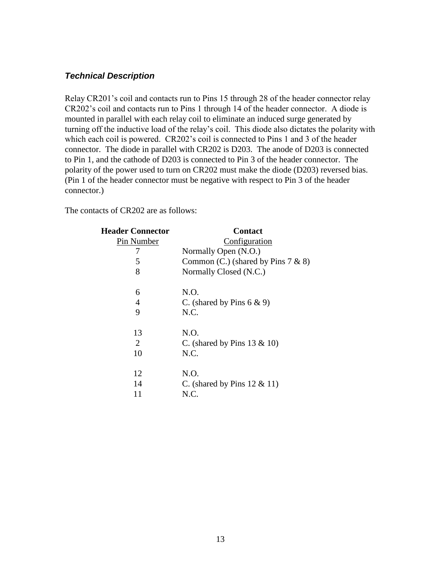#### *Technical Description*

Relay CR201's coil and contacts run to Pins 15 through 28 of the header connector relay CR202's coil and contacts run to Pins 1 through 14 of the header connector. A diode is mounted in parallel with each relay coil to eliminate an induced surge generated by turning off the inductive load of the relay's coil. This diode also dictates the polarity with which each coil is powered. CR202's coil is connected to Pins 1 and 3 of the header connector. The diode in parallel with CR202 is D203. The anode of D203 is connected to Pin 1, and the cathode of D203 is connected to Pin 3 of the header connector. The polarity of the power used to turn on CR202 must make the diode (D203) reversed bias. (Pin 1 of the header connector must be negative with respect to Pin 3 of the header connector.)

The contacts of CR202 are as follows:

| <b>Header Connector</b> | <b>Contact</b><br>Configuration       |  |
|-------------------------|---------------------------------------|--|
| Pin Number              |                                       |  |
| 7                       | Normally Open (N.O.)                  |  |
| 5                       | Common (C.) (shared by Pins $7 & 8$ ) |  |
| 8                       | Normally Closed (N.C.)                |  |
| 6                       | N.O.                                  |  |
| 4                       | C. (shared by Pins $6 \& 9$ )         |  |
| 9                       | N.C.                                  |  |
| 13                      | N.O.                                  |  |
| 2                       | C. (shared by Pins $13 \& 10$ )       |  |
| 10                      | N.C.                                  |  |
| 12                      | N.O.                                  |  |
| 14                      | C. (shared by Pins $12 \& 11$ )       |  |
| 11                      | N.C.                                  |  |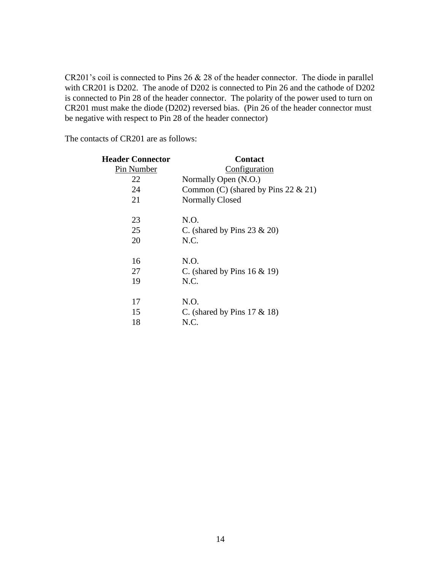CR201's coil is connected to Pins 26 & 28 of the header connector. The diode in parallel with CR201 is D202. The anode of D202 is connected to Pin 26 and the cathode of D202 is connected to Pin 28 of the header connector. The polarity of the power used to turn on CR201 must make the diode (D202) reversed bias. (Pin 26 of the header connector must be negative with respect to Pin 28 of the header connector)

The contacts of CR201 are as follows:

| <b>Header Connector</b> | <b>Contact</b>                         |  |
|-------------------------|----------------------------------------|--|
| Pin Number              | Configuration                          |  |
| 22                      | Normally Open (N.O.)                   |  |
| 24                      | Common (C) (shared by Pins 22 $& 21$ ) |  |
| 21                      | <b>Normally Closed</b>                 |  |
| 23                      | N.O.                                   |  |
| 25                      | C. (shared by Pins $23 \& 20$ )        |  |
| 20                      | N.C.                                   |  |
| 16                      | N.O.                                   |  |
| 27                      | C. (shared by Pins $16 \& 19$ )        |  |
| 19                      | N.C.                                   |  |
| 17                      | N.O.                                   |  |
| 15                      | C. (shared by Pins $17 \& 18$ )        |  |
| 18                      | N.C.                                   |  |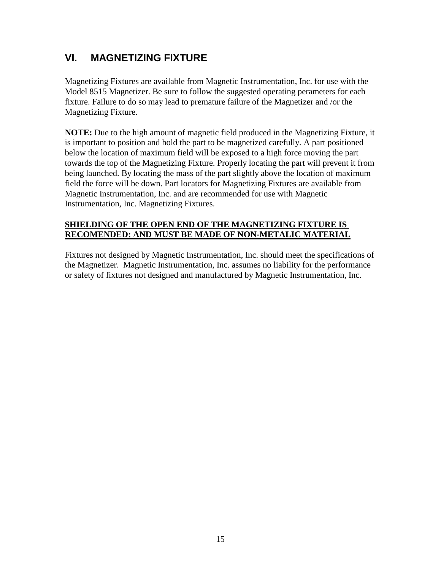# **VI. MAGNETIZING FIXTURE**

Magnetizing Fixtures are available from Magnetic Instrumentation, Inc. for use with the Model 8515 Magnetizer. Be sure to follow the suggested operating perameters for each fixture. Failure to do so may lead to premature failure of the Magnetizer and /or the Magnetizing Fixture.

**NOTE:** Due to the high amount of magnetic field produced in the Magnetizing Fixture, it is important to position and hold the part to be magnetized carefully. A part positioned below the location of maximum field will be exposed to a high force moving the part towards the top of the Magnetizing Fixture. Properly locating the part will prevent it from being launched. By locating the mass of the part slightly above the location of maximum field the force will be down. Part locators for Magnetizing Fixtures are available from Magnetic Instrumentation, Inc. and are recommended for use with Magnetic Instrumentation, Inc. Magnetizing Fixtures.

## **SHIELDING OF THE OPEN END OF THE MAGNETIZING FIXTURE IS RECOMENDED: AND MUST BE MADE OF NON-METALIC MATERIAL**

Fixtures not designed by Magnetic Instrumentation, Inc. should meet the specifications of the Magnetizer. Magnetic Instrumentation, Inc. assumes no liability for the performance or safety of fixtures not designed and manufactured by Magnetic Instrumentation, Inc.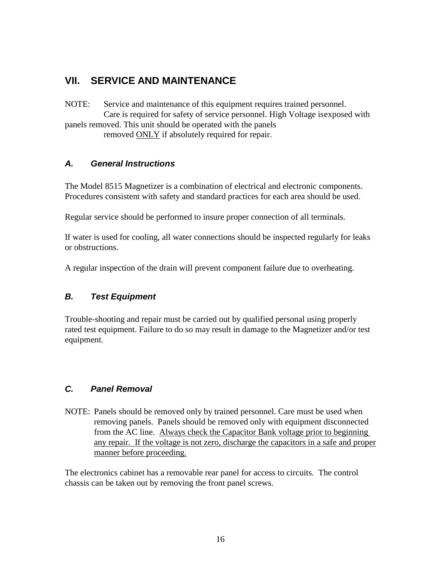# **VII. SERVICE AND MAINTENANCE**

NOTE: Service and maintenance of this equipment requires trained personnel. Care is required for safety of service personnel. High Voltage isexposed with panels removed. This unit should be operated with the panels removed ONLY if absolutely required for repair.

# *A. General Instructions*

The Model 8515 Magnetizer is a combination of electrical and electronic components. Procedures consistent with safety and standard practices for each area should be used.

Regular service should be performed to insure proper connection of all terminals.

If water is used for cooling, all water connections should be inspected regularly for leaks or obstructions.

A regular inspection of the drain will prevent component failure due to overheating.

# *B. Test Equipment*

Trouble-shooting and repair must be carried out by qualified personal using properly rated test equipment. Failure to do so may result in damage to the Magnetizer and/or test equipment.

# *C. Panel Removal*

NOTE: Panels should be removed only by trained personnel. Care must be used when removing panels. Panels should be removed only with equipment disconnected from the AC line. Always check the Capacitor Bank voltage prior to beginning any repair. If the voltage is not zero, discharge the capacitors in a safe and proper manner before proceeding.

The electronics cabinet has a removable rear panel for access to circuits. The control chassis can be taken out by removing the front panel screws.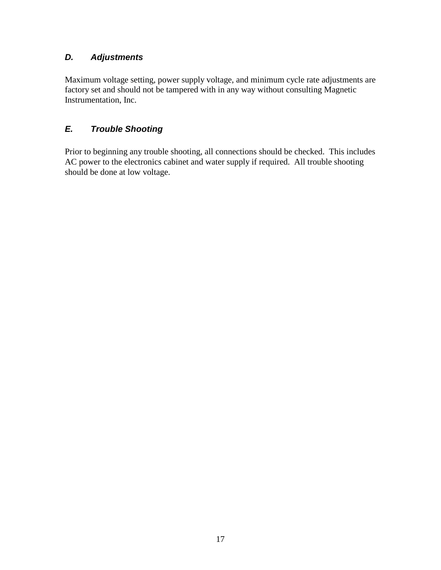# *D. Adjustments*

Maximum voltage setting, power supply voltage, and minimum cycle rate adjustments are factory set and should not be tampered with in any way without consulting Magnetic Instrumentation, Inc.

# *E. Trouble Shooting*

Prior to beginning any trouble shooting, all connections should be checked. This includes AC power to the electronics cabinet and water supply if required. All trouble shooting should be done at low voltage.